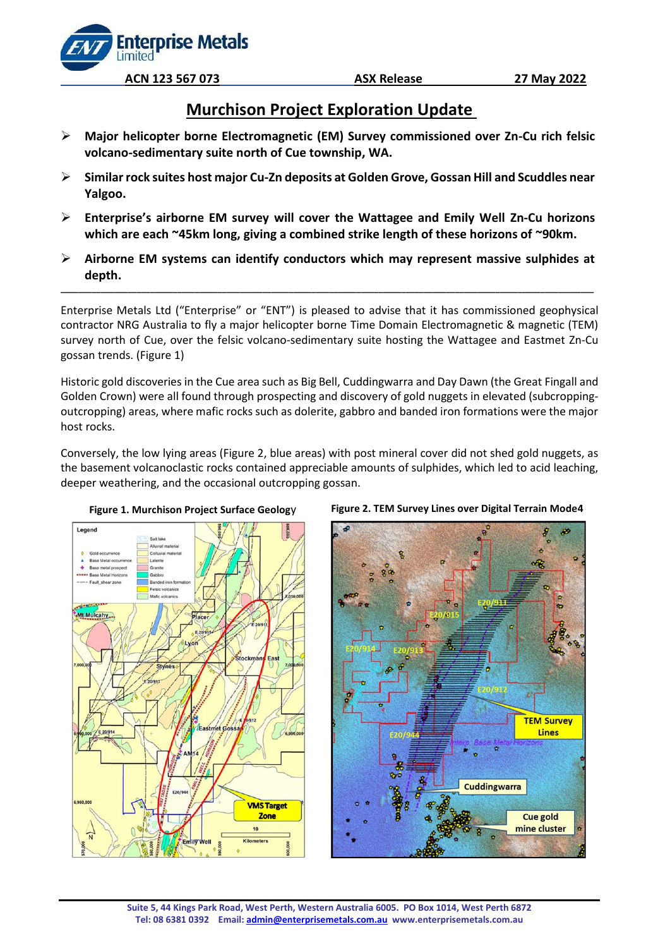**Enterprise Metals** 

**Limited** 

# **Murchison Project Exploration Update**

- ➢ **Major helicopter borne Electromagnetic (EM) Survey commissioned over Zn-Cu rich felsic volcano-sedimentary suite north of Cue township, WA.**
- ➢ **Similar rock suites host major Cu-Zn deposits at Golden Grove, Gossan Hill and Scuddles near Yalgoo.**
- ➢ **Enterprise's airborne EM survey will cover the Wattagee and Emily Well Zn-Cu horizons which are each ~45km long, giving a combined strike length of these horizons of ~90km.**
- ➢ **Airborne EM systems can identify conductors which may represent massive sulphides at depth.**

**\_\_\_\_\_\_\_\_\_\_\_\_\_\_\_\_\_\_\_\_\_\_\_\_\_\_\_\_\_\_\_\_\_\_\_\_\_\_\_\_\_\_\_\_\_\_\_\_\_\_\_\_\_\_\_\_\_\_\_\_\_\_\_\_\_\_\_\_\_\_\_\_\_\_\_\_\_\_\_\_\_\_\_\_\_\_\_\_\_\_\_\_\_\_\_\_\_\_\_\_\_\_\_\_\_\_\_\_\_\_\_\_\_\_\_\_\_\_\_**

Enterprise Metals Ltd ("Enterprise" or "ENT") is pleased to advise that it has commissioned geophysical contractor NRG Australia to fly a major helicopter borne Time Domain Electromagnetic & magnetic (TEM) survey north of Cue, over the felsic volcano-sedimentary suite hosting the Wattagee and Eastmet Zn-Cu gossan trends. (Figure 1)

Historic gold discoveries in the Cue area such as Big Bell, Cuddingwarra and Day Dawn (the Great Fingall and Golden Crown) were all found through prospecting and discovery of gold nuggets in elevated (subcroppingoutcropping) areas, where mafic rocks such as dolerite, gabbro and banded iron formations were the major host rocks.

Conversely, the low lying areas (Figure 2, blue areas) with post mineral cover did not shed gold nuggets, as the basement volcanoclastic rocks contained appreciable amounts of sulphides, which led to acid leaching, deeper weathering, and the occasional outcropping gossan.







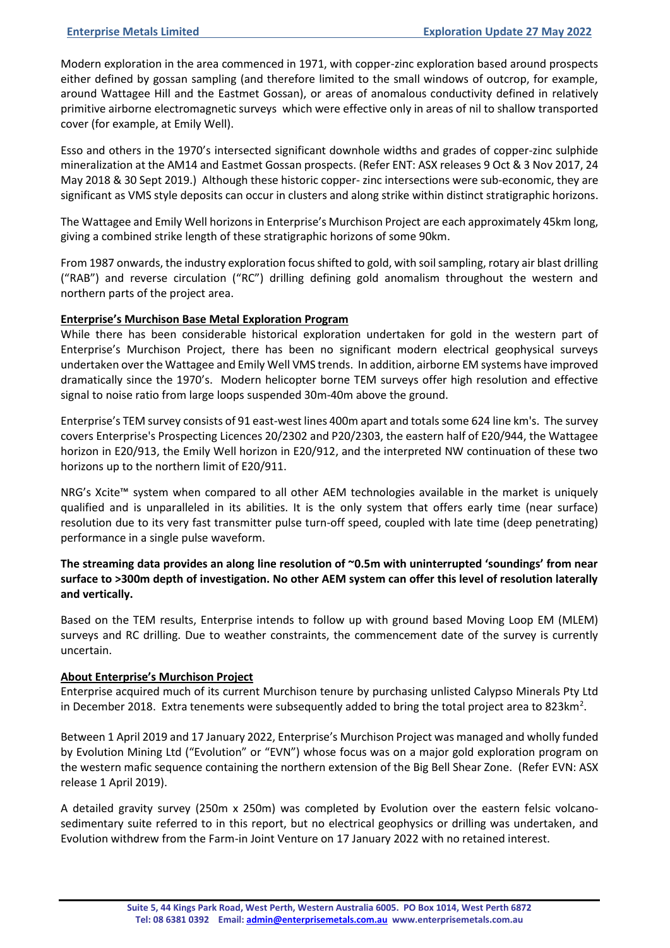Modern exploration in the area commenced in 1971, with copper-zinc exploration based around prospects either defined by gossan sampling (and therefore limited to the small windows of outcrop, for example, around Wattagee Hill and the Eastmet Gossan), or areas of anomalous conductivity defined in relatively primitive airborne electromagnetic surveys which were effective only in areas of nil to shallow transported cover (for example, at Emily Well).

Esso and others in the 1970's intersected significant downhole widths and grades of copper-zinc sulphide mineralization at the AM14 and Eastmet Gossan prospects. (Refer ENT: ASX releases 9 Oct & 3 Nov 2017, 24 May 2018 & 30 Sept 2019.) Although these historic copper- zinc intersections were sub-economic, they are significant as VMS style deposits can occur in clusters and along strike within distinct stratigraphic horizons.

The Wattagee and Emily Well horizons in Enterprise's Murchison Project are each approximately 45km long, giving a combined strike length of these stratigraphic horizons of some 90km.

From 1987 onwards, the industry exploration focus shifted to gold, with soil sampling, rotary air blast drilling ("RAB") and reverse circulation ("RC") drilling defining gold anomalism throughout the western and northern parts of the project area.

## **Enterprise's Murchison Base Metal Exploration Program**

While there has been considerable historical exploration undertaken for gold in the western part of Enterprise's Murchison Project, there has been no significant modern electrical geophysical surveys undertaken over the Wattagee and Emily Well VMS trends. In addition, airborne EM systems have improved dramatically since the 1970's. Modern helicopter borne TEM surveys offer high resolution and effective signal to noise ratio from large loops suspended 30m-40m above the ground.

Enterprise's TEM survey consists of 91 east-west lines 400m apart and totals some 624 line km's. The survey covers Enterprise's Prospecting Licences 20/2302 and P20/2303, the eastern half of E20/944, the Wattagee horizon in E20/913, the Emily Well horizon in E20/912, and the interpreted NW continuation of these two horizons up to the northern limit of E20/911.

NRG's Xcite™ system when compared to all other AEM technologies available in the market is uniquely qualified and is unparalleled in its abilities. It is the only system that offers early time (near surface) resolution due to its very fast transmitter pulse turn-off speed, coupled with late time (deep penetrating) performance in a single pulse waveform.

**The streaming data provides an along line resolution of ~0.5m with uninterrupted 'soundings' from near surface to >300m depth of investigation. No other AEM system can offer this level of resolution laterally and vertically.**

Based on the TEM results, Enterprise intends to follow up with ground based Moving Loop EM (MLEM) surveys and RC drilling. Due to weather constraints, the commencement date of the survey is currently uncertain.

### **About Enterprise's Murchison Project**

Enterprise acquired much of its current Murchison tenure by purchasing unlisted Calypso Minerals Pty Ltd in December 2018. Extra tenements were subsequently added to bring the total project area to 823km<sup>2</sup>.

Between 1 April 2019 and 17 January 2022, Enterprise's Murchison Project was managed and wholly funded by Evolution Mining Ltd ("Evolution" or "EVN") whose focus was on a major gold exploration program on the western mafic sequence containing the northern extension of the Big Bell Shear Zone. (Refer EVN: ASX release 1 April 2019).

A detailed gravity survey (250m x 250m) was completed by Evolution over the eastern felsic volcanosedimentary suite referred to in this report, but no electrical geophysics or drilling was undertaken, and Evolution withdrew from the Farm-in Joint Venture on 17 January 2022 with no retained interest.